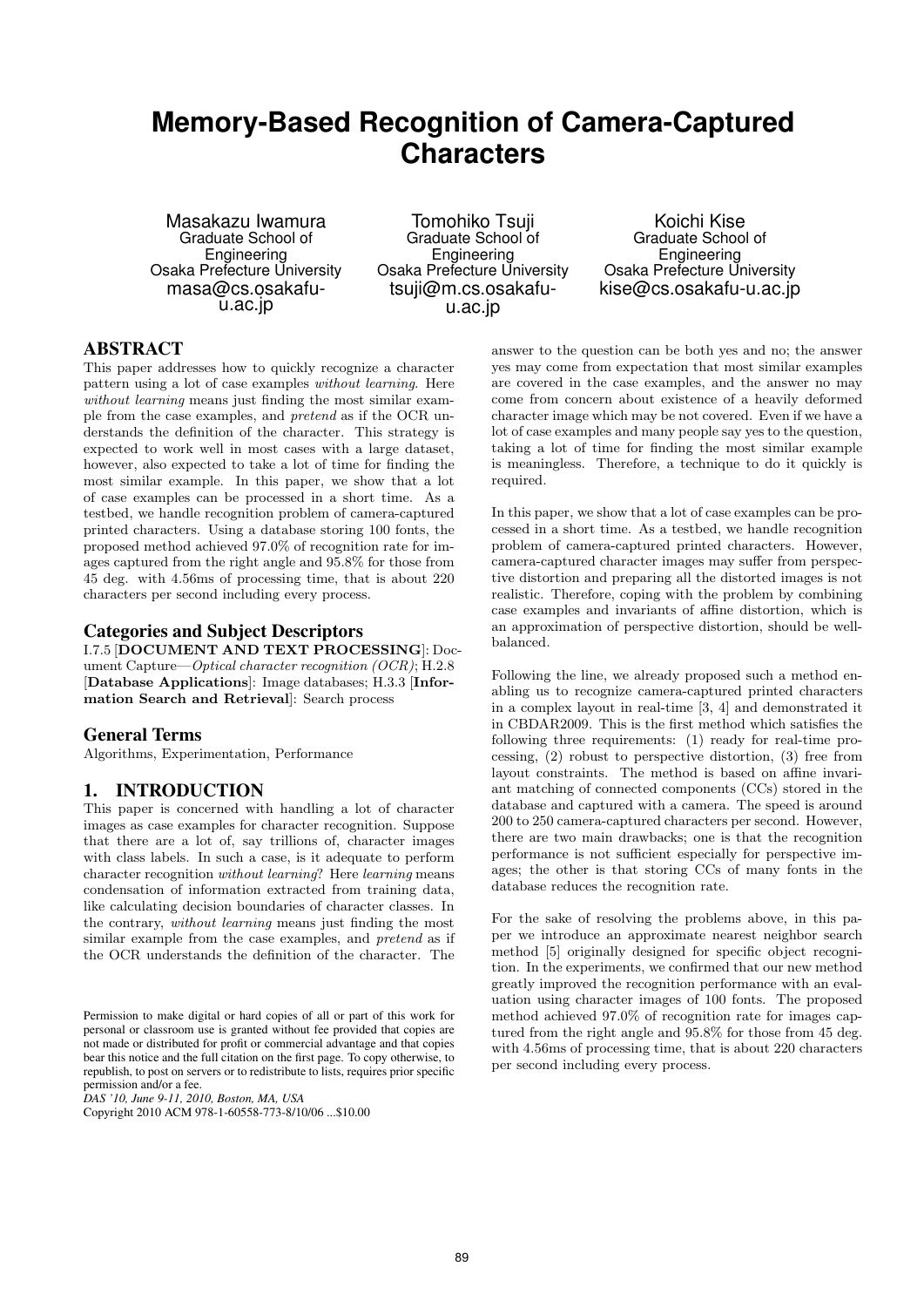# **Memory-Based Recognition of Camera-Captured Characters**

Masakazu Iwamura Graduate School of **Engineering** Osaka Prefecture University masa@cs.osakafuu.ac.jp

Tomohiko Tsuji Graduate School of Engineering Osaka Prefecture University tsuji@m.cs.osakafuu.ac.jp

Koichi Kise Graduate School of **Engineering** Osaka Prefecture University kise@cs.osakafu-u.ac.jp

## ABSTRACT

This paper addresses how to quickly recognize a character pattern using a lot of case examples *without learning*. Here *without learning* means just finding the most similar example from the case examples, and *pretend* as if the OCR understands the definition of the character. This strategy is expected to work well in most cases with a large dataset, however, also expected to take a lot of time for finding the most similar example. In this paper, we show that a lot of case examples can be processed in a short time. As a testbed, we handle recognition problem of camera-captured printed characters. Using a database storing 100 fonts, the proposed method achieved 97.0% of recognition rate for images captured from the right angle and 95.8% for those from 45 deg. with 4.56ms of processing time, that is about 220 characters per second including every process.

### Categories and Subject Descriptors

I.7.5 [**DOCUMENT AND TEXT PROCESSING**]: Document Capture—*Optical character recognition (OCR)*; H.2.8 [**Database Applications**]: Image databases; H.3.3 [**Information Search and Retrieval**]: Search process

## General Terms

Algorithms, Experimentation, Performance

## 1. INTRODUCTION

This paper is concerned with handling a lot of character images as case examples for character recognition. Suppose that there are a lot of, say trillions of, character images with class labels. In such a case, is it adequate to perform character recognition *without learning*? Here *learning* means condensation of information extracted from training data, like calculating decision boundaries of character classes. In the contrary, *without learning* means just finding the most similar example from the case examples, and *pretend* as if the OCR understands the definition of the character. The

*DAS '10, June 9-11, 2010, Boston, MA, USA*

Copyright 2010 ACM 978-1-60558-773-8/10/06 ...\$10.00

answer to the question can be both yes and no; the answer yes may come from expectation that most similar examples are covered in the case examples, and the answer no may come from concern about existence of a heavily deformed character image which may be not covered. Even if we have a lot of case examples and many people say yes to the question, taking a lot of time for finding the most similar example is meaningless. Therefore, a technique to do it quickly is required.

In this paper, we show that a lot of case examples can be processed in a short time. As a testbed, we handle recognition problem of camera-captured printed characters. However, camera-captured character images may suffer from perspective distortion and preparing all the distorted images is not realistic. Therefore, coping with the problem by combining case examples and invariants of affine distortion, which is an approximation of perspective distortion, should be wellbalanced.

Following the line, we already proposed such a method enabling us to recognize camera-captured printed characters in a complex layout in real-time [3, 4] and demonstrated it in CBDAR2009. This is the first method which satisfies the following three requirements: (1) ready for real-time processing, (2) robust to perspective distortion, (3) free from layout constraints. The method is based on affine invariant matching of connected components (CCs) stored in the database and captured with a camera. The speed is around 200 to 250 camera-captured characters per second. However, there are two main drawbacks; one is that the recognition performance is not sufficient especially for perspective images; the other is that storing CCs of many fonts in the database reduces the recognition rate.

For the sake of resolving the problems above, in this paper we introduce an approximate nearest neighbor search method [5] originally designed for specific object recognition. In the experiments, we confirmed that our new method greatly improved the recognition performance with an evaluation using character images of 100 fonts. The proposed method achieved 97.0% of recognition rate for images captured from the right angle and 95.8% for those from 45 deg. with 4.56ms of processing time, that is about 220 characters per second including every process.

Permission to make digital or hard copies of all or part of this work for personal or classroom use is granted without fee provided that copies are not made or distributed for profit or commercial advantage and that copies bear this notice and the full citation on the first page. To copy otherwise, to republish, to post on servers or to redistribute to lists, requires prior specific permission and/or a fee.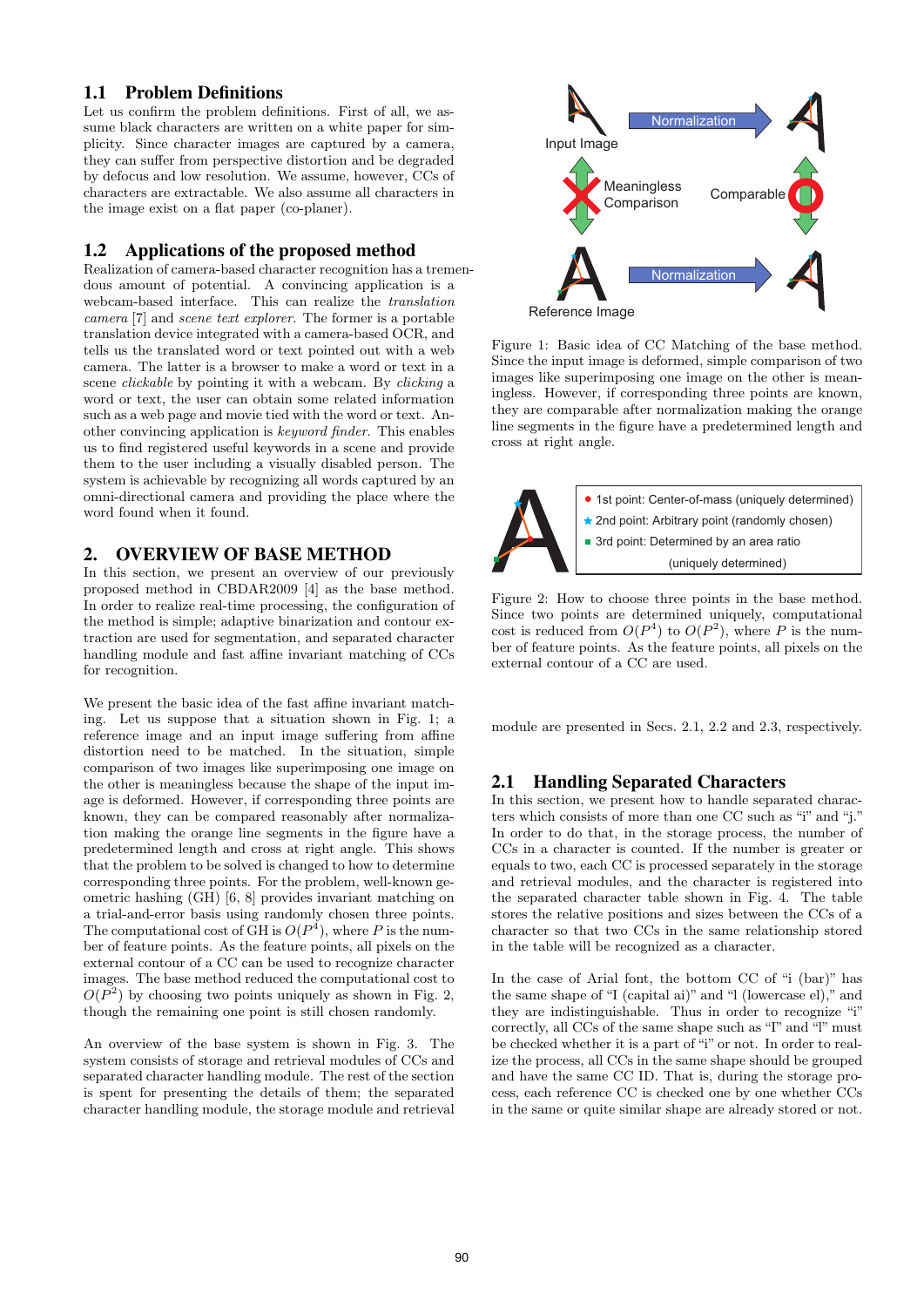# 1.1 Problem Definitions

Let us confirm the problem definitions. First of all, we assume black characters are written on a white paper for simplicity. Since character images are captured by a camera, they can suffer from perspective distortion and be degraded by defocus and low resolution. We assume, however, CCs of characters are extractable. We also assume all characters in the image exist on a flat paper (co-planer).

## 1.2 Applications of the proposed method

Realization of camera-based character recognition has a tremendous amount of potential. A convincing application is a webcam-based interface. This can realize the *translation camera* [7] and *scene text explorer*. The former is a portable translation device integrated with a camera-based OCR, and tells us the translated word or text pointed out with a web camera. The latter is a browser to make a word or text in a scene *clickable* by pointing it with a webcam. By *clicking* a word or text, the user can obtain some related information such as a web page and movie tied with the word or text. Another convincing application is *keyword finder*. This enables us to find registered useful keywords in a scene and provide them to the user including a visually disabled person. The system is achievable by recognizing all words captured by an omni-directional camera and providing the place where the word found when it found.

# 2. OVERVIEW OF BASE METHOD

In this section, we present an overview of our previously proposed method in CBDAR2009 [4] as the base method. In order to realize real-time processing, the configuration of the method is simple; adaptive binarization and contour extraction are used for segmentation, and separated character handling module and fast affine invariant matching of CCs for recognition.

We present the basic idea of the fast affine invariant matching. Let us suppose that a situation shown in Fig. 1; a reference image and an input image suffering from affine distortion need to be matched. In the situation, simple comparison of two images like superimposing one image on the other is meaningless because the shape of the input image is deformed. However, if corresponding three points are known, they can be compared reasonably after normalization making the orange line segments in the figure have a predetermined length and cross at right angle. This shows that the problem to be solved is changed to how to determine corresponding three points. For the problem, well-known geometric hashing (GH) [6, 8] provides invariant matching on a trial-and-error basis using randomly chosen three points. The computational cost of GH is  $O(P^4)$ , where P is the number of feature points. As the feature points, all pixels on the external contour of a CC can be used to recognize character images. The base method reduced the computational cost to  $O(P^2)$  by choosing two points uniquely as shown in Fig. 2, though the remaining one point is still chosen randomly.

An overview of the base system is shown in Fig. 3. The system consists of storage and retrieval modules of CCs and separated character handling module. The rest of the section is spent for presenting the details of them; the separated character handling module, the storage module and retrieval



Figure 1: Basic idea of CC Matching of the base method. Since the input image is deformed, simple comparison of two images like superimposing one image on the other is meaningless. However, if corresponding three points are known, they are comparable after normalization making the orange line segments in the figure have a predetermined length and cross at right angle.



Figure 2: How to choose three points in the base method. Since two points are determined uniquely, computational cost is reduced from  $O(P^4)$  to  $O(P^2)$ , where P is the number of feature points. As the feature points, all pixels on the external contour of a CC are used.

module are presented in Secs. 2.1, 2.2 and 2.3, respectively.

## 2.1 Handling Separated Characters

In this section, we present how to handle separated characters which consists of more than one CC such as "i" and "j." In order to do that, in the storage process, the number of CCs in a character is counted. If the number is greater or equals to two, each CC is processed separately in the storage and retrieval modules, and the character is registered into the separated character table shown in Fig. 4. The table stores the relative positions and sizes between the CCs of a character so that two CCs in the same relationship stored in the table will be recognized as a character.

In the case of Arial font, the bottom CC of "i (bar)" has the same shape of "I (capital ai)" and "l (lowercase el)," and they are indistinguishable. Thus in order to recognize "i" correctly, all CCs of the same shape such as "I" and "l" must be checked whether it is a part of "i" or not. In order to realize the process, all CCs in the same shape should be grouped and have the same CC ID. That is, during the storage process, each reference CC is checked one by one whether CCs in the same or quite similar shape are already stored or not.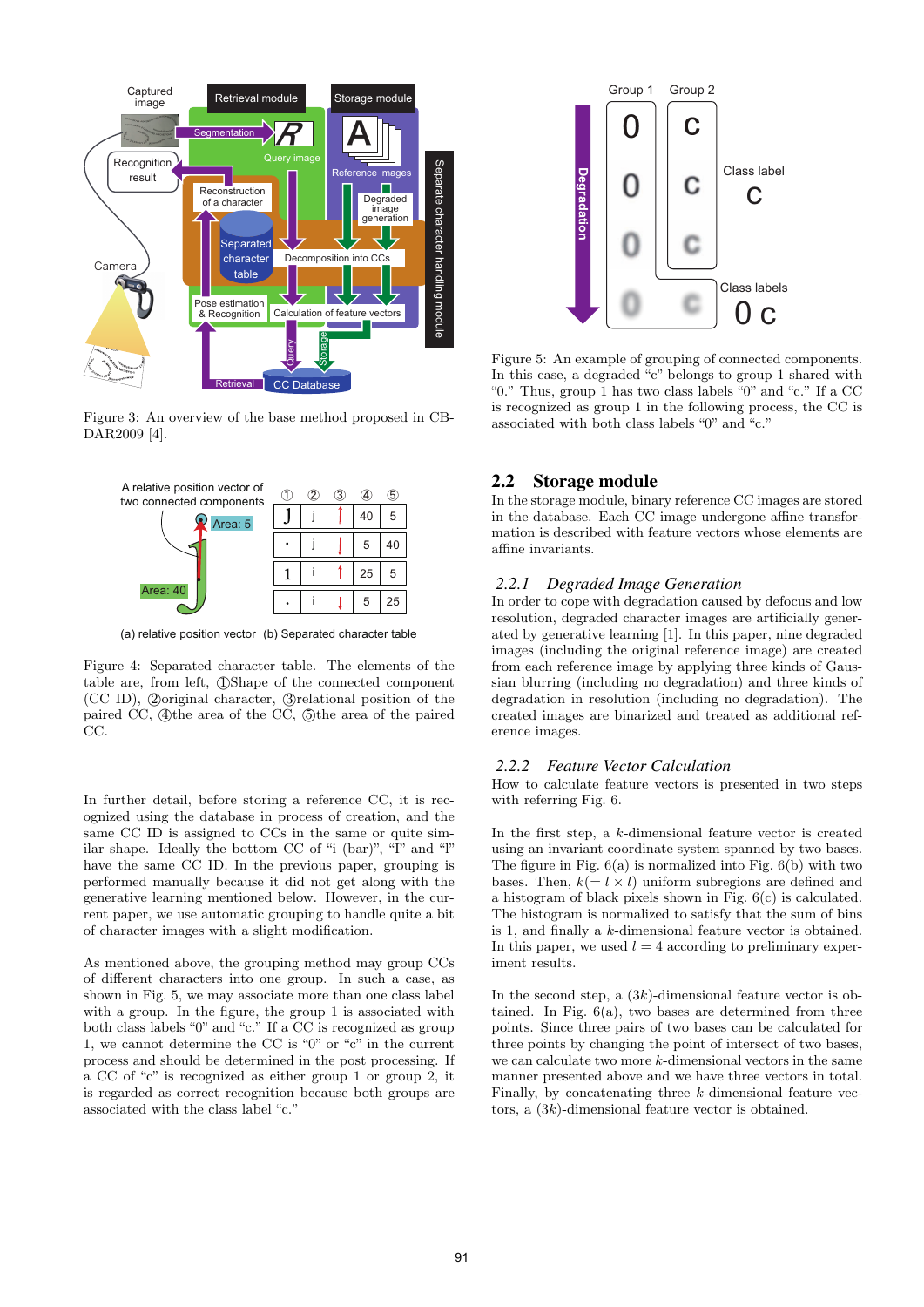

Figure 3: An overview of the base method proposed in CB-DAR2009 [4].



(a) relative position vector (b) Separated character table

Figure 4: Separated character table. The elements of the table are, from left, *(I)Shape* of the connected component (CC ID), 2 original character, 3 relational position of the paired CC,  $\Phi$ the area of the CC,  $\Phi$ the area of the paired CC.

In further detail, before storing a reference CC, it is recognized using the database in process of creation, and the same CC ID is assigned to CCs in the same or quite similar shape. Ideally the bottom CC of "i (bar)", "I" and "l" have the same CC ID. In the previous paper, grouping is performed manually because it did not get along with the generative learning mentioned below. However, in the current paper, we use automatic grouping to handle quite a bit of character images with a slight modification.

As mentioned above, the grouping method may group CCs of different characters into one group. In such a case, as shown in Fig. 5, we may associate more than one class label with a group. In the figure, the group 1 is associated with both class labels "0" and "c." If a CC is recognized as group 1, we cannot determine the CC is "0" or "c" in the current process and should be determined in the post processing. If a CC of "c" is recognized as either group 1 or group 2, it is regarded as correct recognition because both groups are associated with the class label "c."



Figure 5: An example of grouping of connected components. In this case, a degraded "c" belongs to group 1 shared with "0." Thus, group 1 has two class labels "0" and "c." If a CC is recognized as group 1 in the following process, the CC is associated with both class labels "0" and "c."

## 2.2 Storage module

In the storage module, binary reference CC images are stored in the database. Each CC image undergone affine transformation is described with feature vectors whose elements are affine invariants.

## *2.2.1 Degraded Image Generation*

In order to cope with degradation caused by defocus and low resolution, degraded character images are artificially generated by generative learning [1]. In this paper, nine degraded images (including the original reference image) are created from each reference image by applying three kinds of Gaussian blurring (including no degradation) and three kinds of degradation in resolution (including no degradation). The created images are binarized and treated as additional reference images.

#### *2.2.2 Feature Vector Calculation*

How to calculate feature vectors is presented in two steps with referring Fig. 6.

In the first step, a *k*-dimensional feature vector is created using an invariant coordinate system spanned by two bases. The figure in Fig.  $6(a)$  is normalized into Fig.  $6(b)$  with two bases. Then,  $k (= l \times l)$  uniform subregions are defined and a histogram of black pixels shown in Fig. 6(c) is calculated. The histogram is normalized to satisfy that the sum of bins is 1, and finally a *k*-dimensional feature vector is obtained. In this paper, we used  $l = 4$  according to preliminary experiment results.

In the second step, a (3*k*)-dimensional feature vector is obtained. In Fig.  $6(a)$ , two bases are determined from three points. Since three pairs of two bases can be calculated for three points by changing the point of intersect of two bases, we can calculate two more *k*-dimensional vectors in the same manner presented above and we have three vectors in total. Finally, by concatenating three *k*-dimensional feature vectors, a (3*k*)-dimensional feature vector is obtained.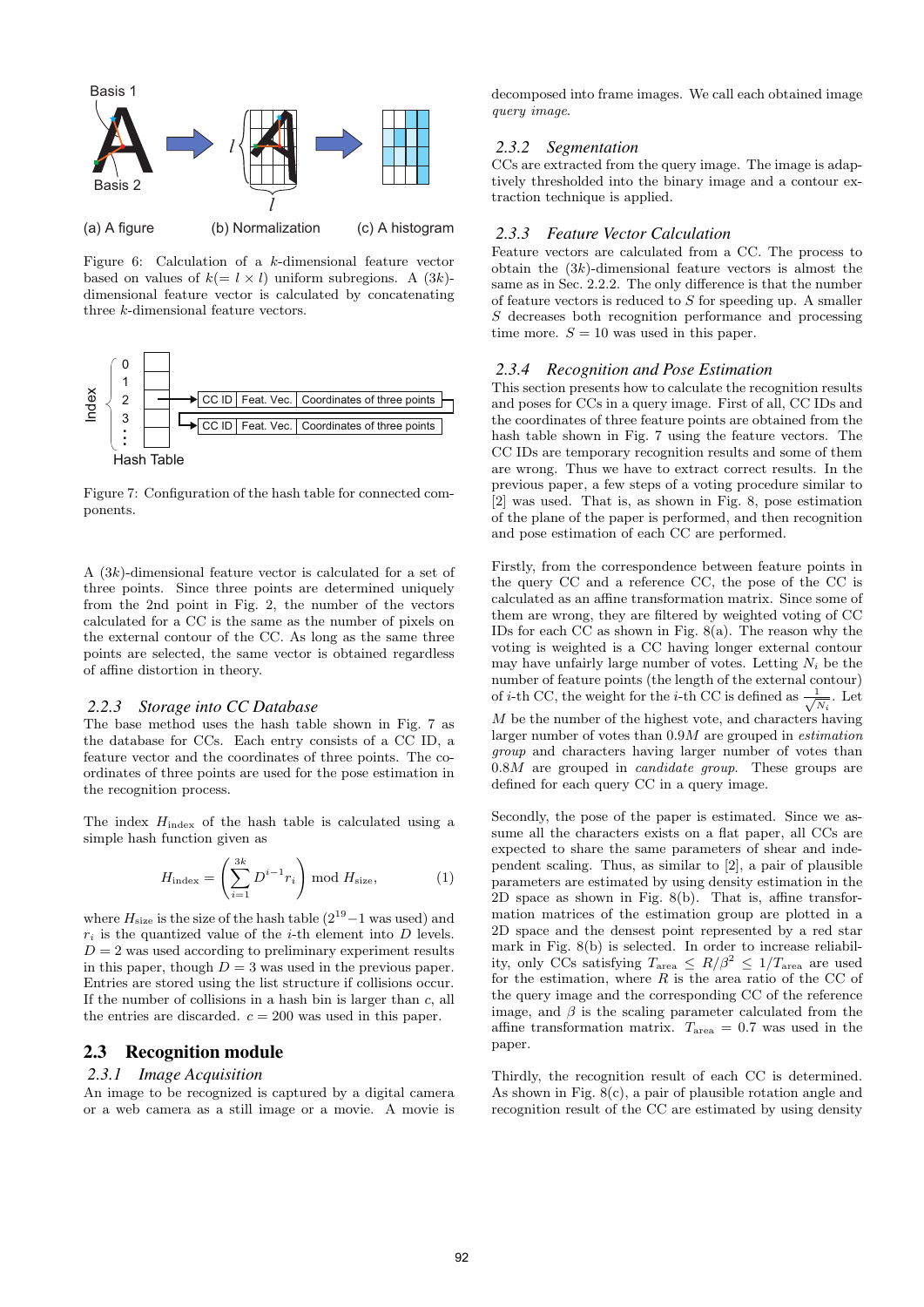

Figure 6: Calculation of a *k*-dimensional feature vector based on values of  $k (= l \times l)$  uniform subregions. A  $(3k)$ dimensional feature vector is calculated by concatenating three *k*-dimensional feature vectors.



Figure 7: Configuration of the hash table for connected components.

A (3*k*)-dimensional feature vector is calculated for a set of three points. Since three points are determined uniquely from the 2nd point in Fig. 2, the number of the vectors calculated for a CC is the same as the number of pixels on the external contour of the CC. As long as the same three points are selected, the same vector is obtained regardless of affine distortion in theory.

#### *2.2.3 Storage into CC Database*

The base method uses the hash table shown in Fig. 7 as the database for CCs. Each entry consists of a CC ID, a feature vector and the coordinates of three points. The coordinates of three points are used for the pose estimation in the recognition process.

The index  $H_{\text{index}}$  of the hash table is calculated using a simple hash function given as

$$
H_{\text{index}} = \left(\sum_{i=1}^{3k} D^{i-1} r_i\right) \text{ mod } H_{\text{size}},\tag{1}
$$

where *<sup>H</sup>*size is the size of the hash table (2<sup>19</sup>*−*1 was used) and  $r_i$  is the quantized value of the *i*-th element into *D* levels.  $D = 2$  was used according to preliminary experiment results in this paper, though  $D = 3$  was used in the previous paper. Entries are stored using the list structure if collisions occur. If the number of collisions in a hash bin is larger than *c*, all the entries are discarded.  $c = 200$  was used in this paper.

## 2.3 Recognition module

#### *2.3.1 Image Acquisition*

An image to be recognized is captured by a digital camera or a web camera as a still image or a movie. A movie is decomposed into frame images. We call each obtained image *query image*.

#### *2.3.2 Segmentation*

CCs are extracted from the query image. The image is adaptively thresholded into the binary image and a contour extraction technique is applied.

#### *2.3.3 Feature Vector Calculation*

Feature vectors are calculated from a CC. The process to obtain the (3*k*)-dimensional feature vectors is almost the same as in Sec. 2.2.2. The only difference is that the number of feature vectors is reduced to *S* for speeding up. A smaller *S* decreases both recognition performance and processing time more.  $S = 10$  was used in this paper.

#### *2.3.4 Recognition and Pose Estimation*

This section presents how to calculate the recognition results and poses for CCs in a query image. First of all, CC IDs and the coordinates of three feature points are obtained from the hash table shown in Fig. 7 using the feature vectors. The CC IDs are temporary recognition results and some of them are wrong. Thus we have to extract correct results. In the previous paper, a few steps of a voting procedure similar to [2] was used. That is, as shown in Fig. 8, pose estimation of the plane of the paper is performed, and then recognition and pose estimation of each CC are performed.

Firstly, from the correspondence between feature points in the query CC and a reference CC, the pose of the CC is calculated as an affine transformation matrix. Since some of them are wrong, they are filtered by weighted voting of CC IDs for each CC as shown in Fig. 8(a). The reason why the voting is weighted is a CC having longer external contour may have unfairly large number of votes. Letting  $N_i$  be the number of feature points (the length of the external contour) of *i*-th CC, the weight for the *i*-th CC is defined as  $\frac{1}{\sqrt{N_i}}$ . Let *M* be the number of the highest vote, and characters having larger number of votes than 0*.*9*M* are grouped in *estimation*

*group* and characters having larger number of votes than 0*.*8*M* are grouped in *candidate group*. These groups are defined for each query CC in a query image.

Secondly, the pose of the paper is estimated. Since we assume all the characters exists on a flat paper, all CCs are expected to share the same parameters of shear and independent scaling. Thus, as similar to [2], a pair of plausible parameters are estimated by using density estimation in the 2D space as shown in Fig. 8(b). That is, affine transformation matrices of the estimation group are plotted in a 2D space and the densest point represented by a red star mark in Fig. 8(b) is selected. In order to increase reliability, only CCs satisfying  $T_{\text{area}} \le R/\beta^2 \le 1/T_{\text{area}}$  are used for the estimation, where *R* is the area ratio of the CC of the query image and the corresponding CC of the reference image, and  $\beta$  is the scaling parameter calculated from the affine transformation matrix.  $T_{\text{area}} = 0.7$  was used in the paper.

Thirdly, the recognition result of each CC is determined. As shown in Fig. 8(c), a pair of plausible rotation angle and recognition result of the CC are estimated by using density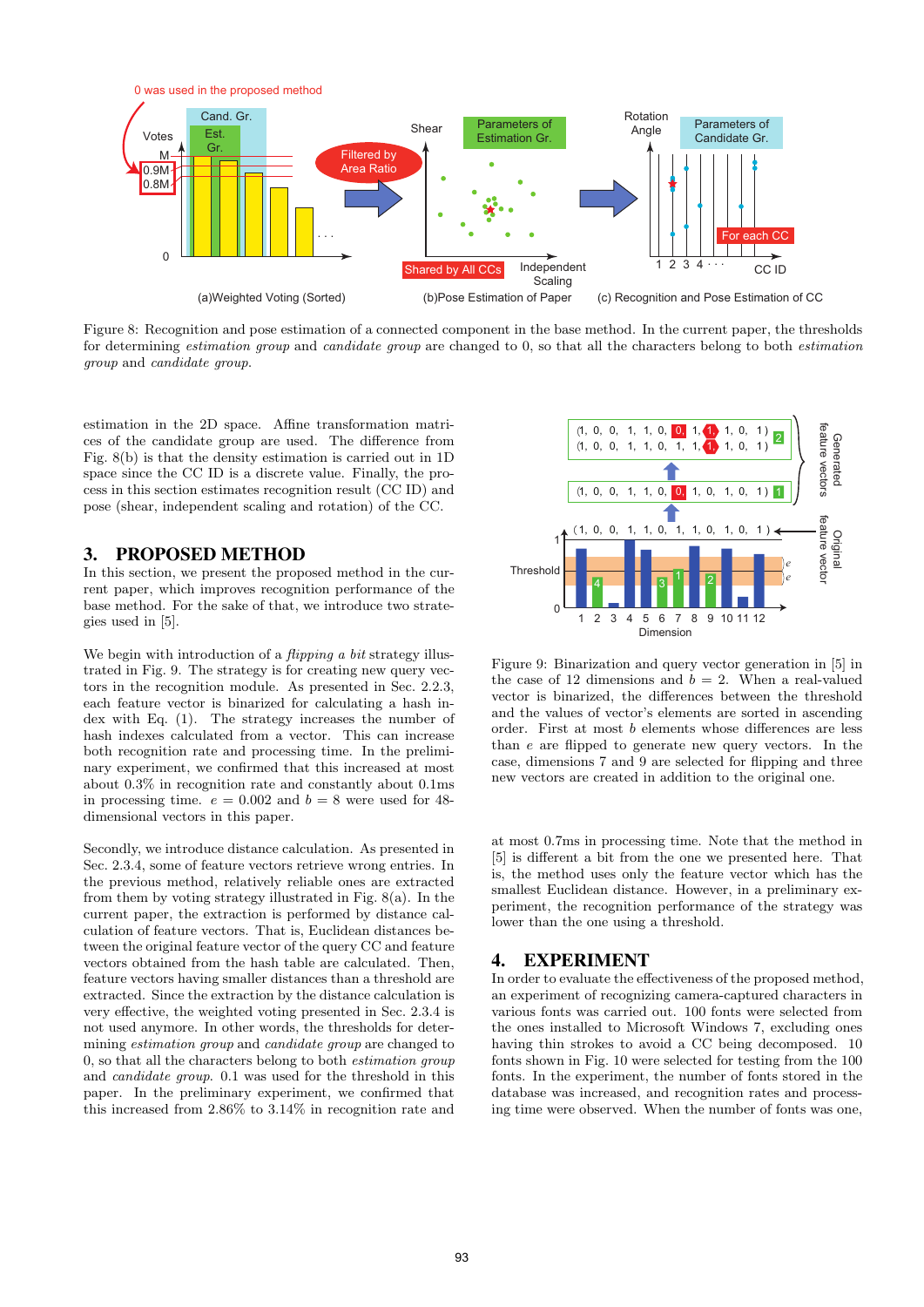

Figure 8: Recognition and pose estimation of a connected component in the base method. In the current paper, the thresholds for determining *estimation group* and *candidate group* are changed to 0, so that all the characters belong to both *estimation group* and *candidate group*.

estimation in the 2D space. Affine transformation matrices of the candidate group are used. The difference from Fig. 8(b) is that the density estimation is carried out in 1D space since the CC ID is a discrete value. Finally, the process in this section estimates recognition result (CC ID) and pose (shear, independent scaling and rotation) of the CC.

# 3. PROPOSED METHOD

In this section, we present the proposed method in the current paper, which improves recognition performance of the base method. For the sake of that, we introduce two strategies used in [5].

We begin with introduction of a *flipping a bit* strategy illustrated in Fig. 9. The strategy is for creating new query vectors in the recognition module. As presented in Sec. 2.2.3, each feature vector is binarized for calculating a hash index with Eq. (1). The strategy increases the number of hash indexes calculated from a vector. This can increase both recognition rate and processing time. In the preliminary experiment, we confirmed that this increased at most about 0.3% in recognition rate and constantly about 0.1ms in processing time.  $e = 0.002$  and  $b = 8$  were used for 48dimensional vectors in this paper.

Secondly, we introduce distance calculation. As presented in Sec. 2.3.4, some of feature vectors retrieve wrong entries. In the previous method, relatively reliable ones are extracted from them by voting strategy illustrated in Fig. 8(a). In the current paper, the extraction is performed by distance calculation of feature vectors. That is, Euclidean distances between the original feature vector of the query CC and feature vectors obtained from the hash table are calculated. Then, feature vectors having smaller distances than a threshold are extracted. Since the extraction by the distance calculation is very effective, the weighted voting presented in Sec. 2.3.4 is not used anymore. In other words, the thresholds for determining *estimation group* and *candidate group* are changed to 0, so that all the characters belong to both *estimation group* and *candidate group*. 0*.*1 was used for the threshold in this paper. In the preliminary experiment, we confirmed that this increased from 2.86% to 3.14% in recognition rate and



Figure 9: Binarization and query vector generation in [5] in the case of 12 dimensions and  $b = 2$ . When a real-valued vector is binarized, the differences between the threshold and the values of vector's elements are sorted in ascending order. First at most *b* elements whose differences are less than *e* are flipped to generate new query vectors. In the case, dimensions 7 and 9 are selected for flipping and three new vectors are created in addition to the original one.

at most 0.7ms in processing time. Note that the method in [5] is different a bit from the one we presented here. That is, the method uses only the feature vector which has the smallest Euclidean distance. However, in a preliminary experiment, the recognition performance of the strategy was lower than the one using a threshold.

## 4. EXPERIMENT

In order to evaluate the effectiveness of the proposed method, an experiment of recognizing camera-captured characters in various fonts was carried out. 100 fonts were selected from the ones installed to Microsoft Windows 7, excluding ones having thin strokes to avoid a CC being decomposed. 10 fonts shown in Fig. 10 were selected for testing from the 100 fonts. In the experiment, the number of fonts stored in the database was increased, and recognition rates and processing time were observed. When the number of fonts was one,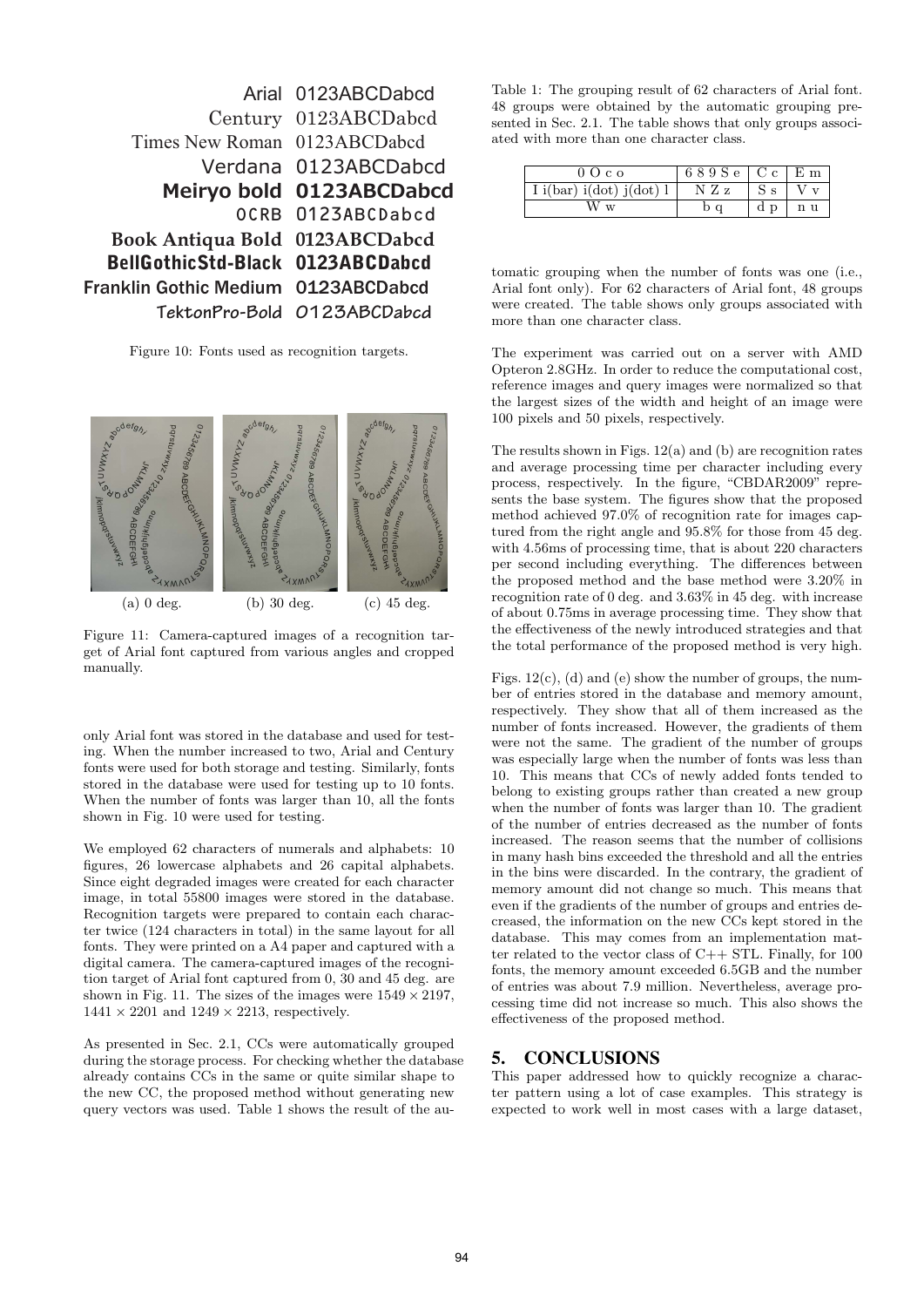|                                     | Arial 0123ABCDabcd          |  |  |
|-------------------------------------|-----------------------------|--|--|
|                                     | Century 0123ABCDabcd        |  |  |
| Times New Roman 0123ABCDabcd        |                             |  |  |
|                                     | Verdana 0123ABCDabcd        |  |  |
|                                     | Meiryo bold 0123ABCDabcd    |  |  |
|                                     | OCRB 0123ABCDabcd           |  |  |
| Book Antiqua Bold 0123ABCDabcd      |                             |  |  |
| BellGothicStd-Black 0123ABCDabcd    |                             |  |  |
| Franklin Gothic Medium 0123ABCDabcd |                             |  |  |
|                                     | TektonPro-Bold 0123ABCDabcd |  |  |

Figure 10: Fonts used as recognition targets.



Figure 11: Camera-captured images of a recognition target of Arial font captured from various angles and cropped manually.

only Arial font was stored in the database and used for testing. When the number increased to two, Arial and Century fonts were used for both storage and testing. Similarly, fonts stored in the database were used for testing up to 10 fonts. When the number of fonts was larger than 10, all the fonts shown in Fig. 10 were used for testing.

We employed 62 characters of numerals and alphabets: 10 figures, 26 lowercase alphabets and 26 capital alphabets. Since eight degraded images were created for each character image, in total 55800 images were stored in the database. Recognition targets were prepared to contain each character twice (124 characters in total) in the same layout for all fonts. They were printed on a A4 paper and captured with a digital camera. The camera-captured images of the recognition target of Arial font captured from 0, 30 and 45 deg. are shown in Fig. 11. The sizes of the images were  $1549 \times 2197$ , 1441 *×* 2201 and 1249 *×* 2213, respectively.

As presented in Sec. 2.1, CCs were automatically grouped during the storage process. For checking whether the database already contains CCs in the same or quite similar shape to the new CC, the proposed method without generating new query vectors was used. Table 1 shows the result of the auTable 1: The grouping result of 62 characters of Arial font. 48 groups were obtained by the automatic grouping presented in Sec. 2.1. The table shows that only groups associated with more than one character class.

| 0 O c o                                    | 689 Se   Cc   Em |                |  |
|--------------------------------------------|------------------|----------------|--|
| I i(bar) $i(\text{dot})$ $j(\text{dot})$ 1 | N Z z            | S <sub>s</sub> |  |
| W w                                        |                  | d p            |  |

tomatic grouping when the number of fonts was one (i.e., Arial font only). For 62 characters of Arial font, 48 groups were created. The table shows only groups associated with more than one character class.

The experiment was carried out on a server with AMD Opteron 2.8GHz. In order to reduce the computational cost, reference images and query images were normalized so that the largest sizes of the width and height of an image were 100 pixels and 50 pixels, respectively.

The results shown in Figs. 12(a) and (b) are recognition rates and average processing time per character including every process, respectively. In the figure, "CBDAR2009" represents the base system. The figures show that the proposed method achieved 97.0% of recognition rate for images captured from the right angle and 95.8% for those from 45 deg. with 4.56ms of processing time, that is about 220 characters per second including everything. The differences between the proposed method and the base method were 3.20% in recognition rate of 0 deg. and 3.63% in 45 deg. with increase of about 0.75ms in average processing time. They show that the effectiveness of the newly introduced strategies and that the total performance of the proposed method is very high.

Figs.  $12(c)$ , (d) and (e) show the number of groups, the number of entries stored in the database and memory amount, respectively. They show that all of them increased as the number of fonts increased. However, the gradients of them were not the same. The gradient of the number of groups was especially large when the number of fonts was less than 10. This means that CCs of newly added fonts tended to belong to existing groups rather than created a new group when the number of fonts was larger than 10. The gradient of the number of entries decreased as the number of fonts increased. The reason seems that the number of collisions in many hash bins exceeded the threshold and all the entries in the bins were discarded. In the contrary, the gradient of memory amount did not change so much. This means that even if the gradients of the number of groups and entries decreased, the information on the new CCs kept stored in the database. This may comes from an implementation matter related to the vector class of  $C++$  STL. Finally, for 100 fonts, the memory amount exceeded 6.5GB and the number of entries was about 7.9 million. Nevertheless, average processing time did not increase so much. This also shows the effectiveness of the proposed method.

## 5. CONCLUSIONS

This paper addressed how to quickly recognize a character pattern using a lot of case examples. This strategy is expected to work well in most cases with a large dataset,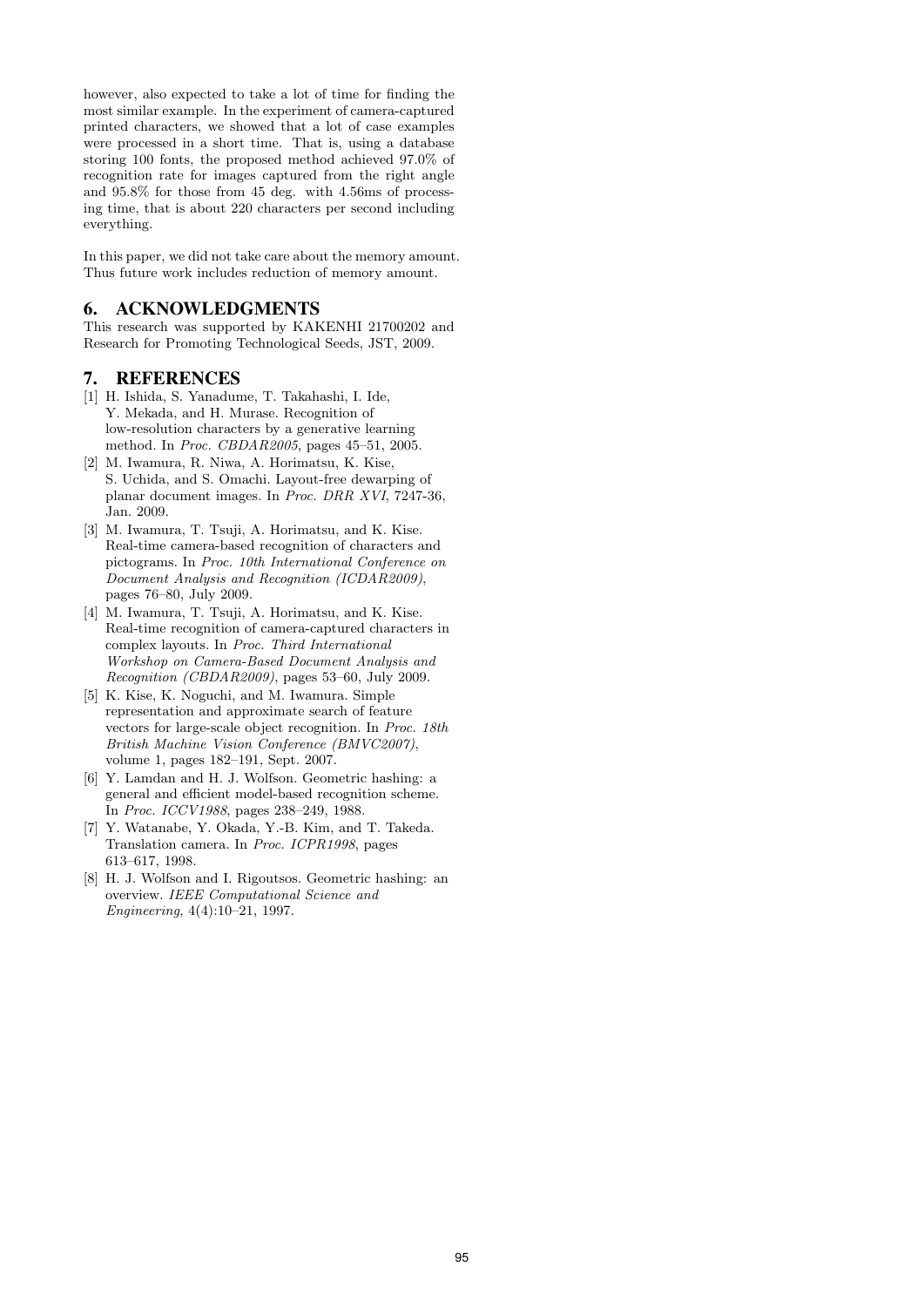however, also expected to take a lot of time for finding the most similar example. In the experiment of camera-captured printed characters, we showed that a lot of case examples were processed in a short time. That is, using a database storing 100 fonts, the proposed method achieved 97.0% of recognition rate for images captured from the right angle and 95.8% for those from 45 deg. with 4.56ms of processing time, that is about 220 characters per second including everything.

In this paper, we did not take care about the memory amount. Thus future work includes reduction of memory amount.

# 6. ACKNOWLEDGMENTS

This research was supported by KAKENHI 21700202 and Research for Promoting Technological Seeds, JST, 2009.

# 7. REFERENCES

- [1] H. Ishida, S. Yanadume, T. Takahashi, I. Ide, Y. Mekada, and H. Murase. Recognition of low-resolution characters by a generative learning method. In *Proc. CBDAR2005*, pages 45–51, 2005.
- [2] M. Iwamura, R. Niwa, A. Horimatsu, K. Kise, S. Uchida, and S. Omachi. Layout-free dewarping of planar document images. In *Proc. DRR XVI*, 7247-36, Jan. 2009.
- [3] M. Iwamura, T. Tsuji, A. Horimatsu, and K. Kise. Real-time camera-based recognition of characters and pictograms. In *Proc. 10th International Conference on Document Analysis and Recognition (ICDAR2009)*, pages 76–80, July 2009.
- [4] M. Iwamura, T. Tsuji, A. Horimatsu, and K. Kise. Real-time recognition of camera-captured characters in complex layouts. In *Proc. Third International Workshop on Camera-Based Document Analysis and Recognition (CBDAR2009)*, pages 53–60, July 2009.
- [5] K. Kise, K. Noguchi, and M. Iwamura. Simple representation and approximate search of feature vectors for large-scale object recognition. In *Proc. 18th British Machine Vision Conference (BMVC2007)*, volume 1, pages 182–191, Sept. 2007.
- [6] Y. Lamdan and H. J. Wolfson. Geometric hashing: a general and efficient model-based recognition scheme. In *Proc. ICCV1988*, pages 238–249, 1988.
- [7] Y. Watanabe, Y. Okada, Y.-B. Kim, and T. Takeda. Translation camera. In *Proc. ICPR1998*, pages 613–617, 1998.
- [8] H. J. Wolfson and I. Rigoutsos. Geometric hashing: an overview. *IEEE Computational Science and Engineering*, 4(4):10–21, 1997.